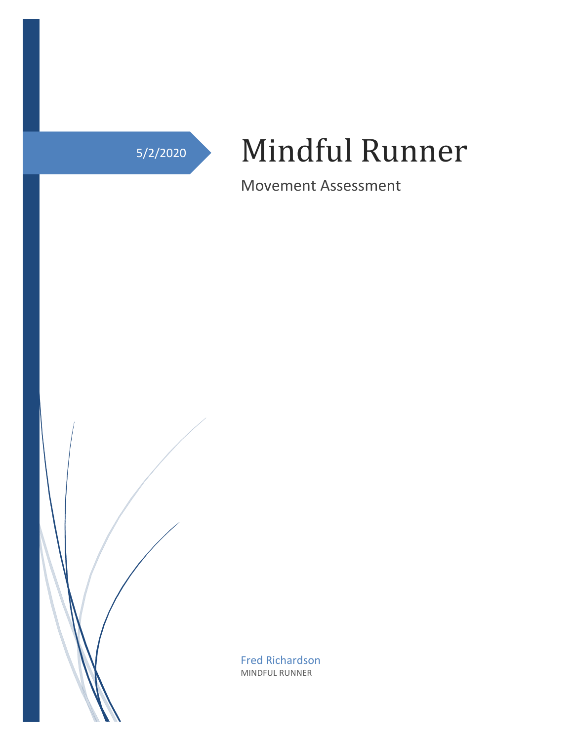# 5/2/2020 Mindful Runner

Movement Assessment

Fred Richardson MINDFUL RUNNER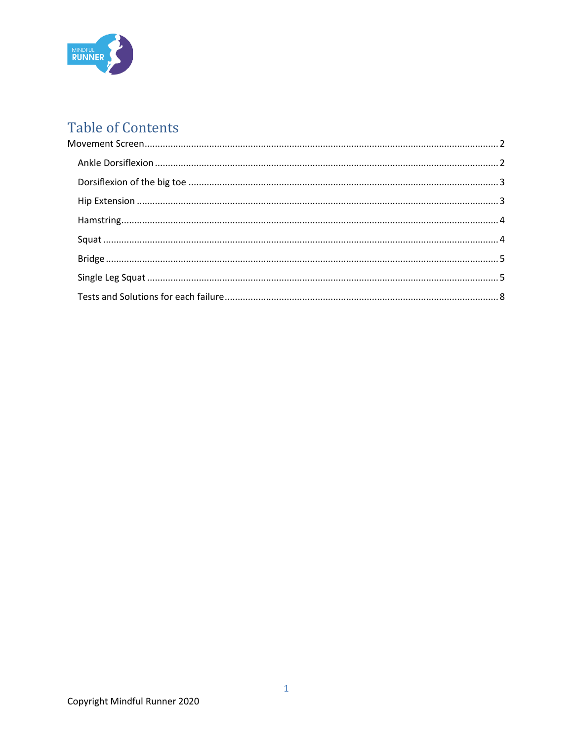

# **Table of Contents**

<span id="page-1-0"></span>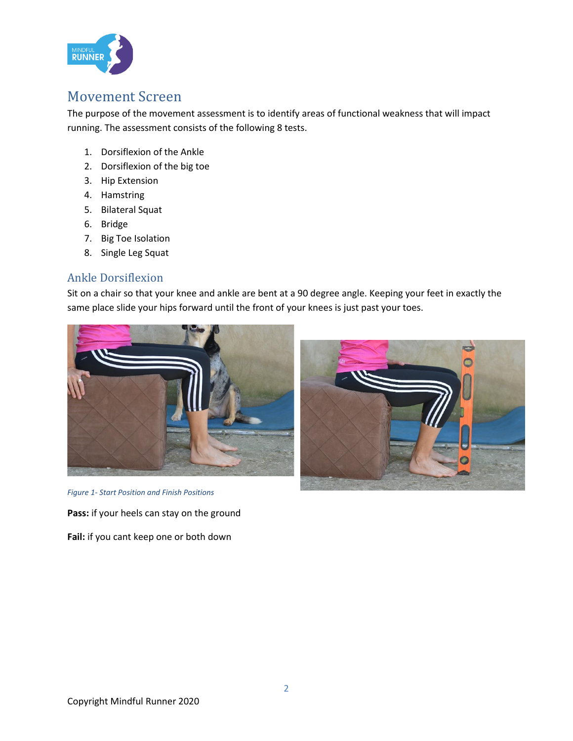

## Movement Screen

The purpose of the movement assessment is to identify areas of functional weakness that will impact running. The assessment consists of the following 8 tests.

- 1. Dorsiflexion of the Ankle
- 2. Dorsiflexion of the big toe
- 3. Hip Extension
- 4. Hamstring
- 5. Bilateral Squat
- 6. Bridge
- 7. Big Toe Isolation
- 8. Single Leg Squat

#### <span id="page-2-0"></span>Ankle Dorsiflexion

Sit on a chair so that your knee and ankle are bent at a 90 degree angle. Keeping your feet in exactly the same place slide your hips forward until the front of your knees is just past your toes.





*Figure 1- Start Position and Finish Positions*

**Pass:** if your heels can stay on the ground

**Fail:** if you cant keep one or both down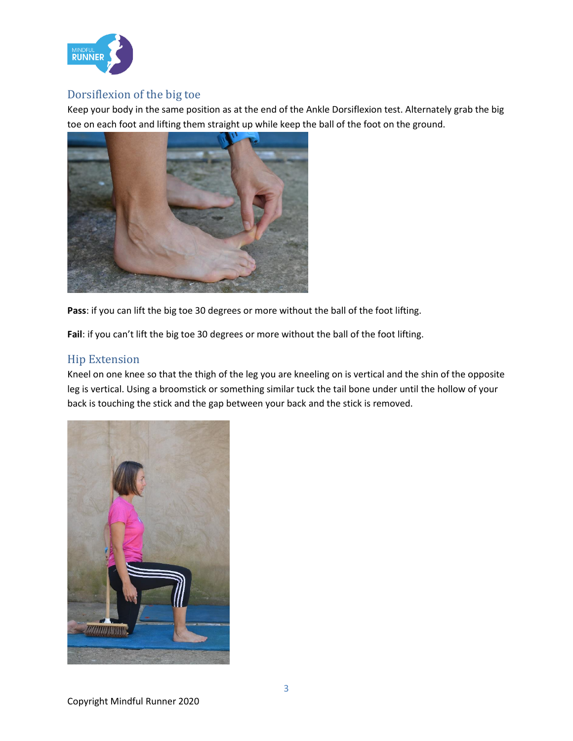

#### <span id="page-3-0"></span>Dorsiflexion of the big toe

Keep your body in the same position as at the end of the Ankle Dorsiflexion test. Alternately grab the big toe on each foot and lifting them straight up while keep the ball of the foot on the ground.



**Pass**: if you can lift the big toe 30 degrees or more without the ball of the foot lifting.

**Fail**: if you can't lift the big toe 30 degrees or more without the ball of the foot lifting.

#### <span id="page-3-1"></span>Hip Extension

Kneel on one knee so that the thigh of the leg you are kneeling on is vertical and the shin of the opposite leg is vertical. Using a broomstick or something similar tuck the tail bone under until the hollow of your back is touching the stick and the gap between your back and the stick is removed.

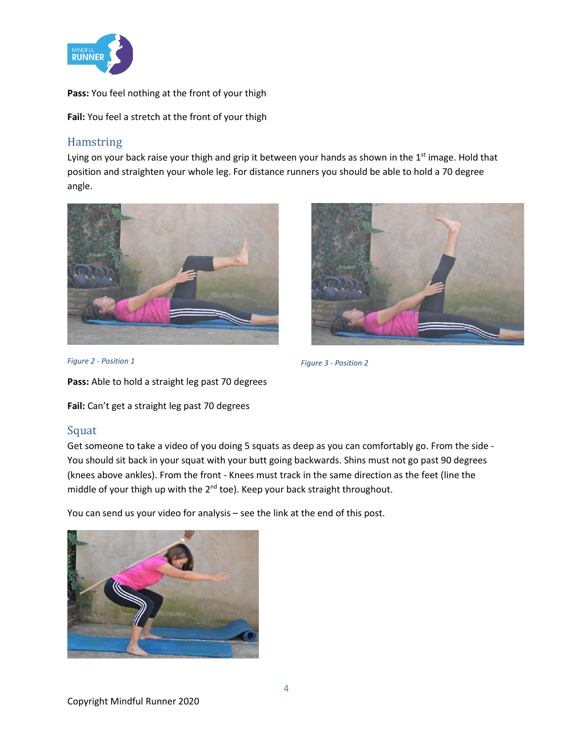

**Pass:** You feel nothing at the front of your thigh

**Fail:** You feel a stretch at the front of your thigh

#### <span id="page-4-0"></span>Hamstring

Lying on your back raise your thigh and grip it between your hands as shown in the  $1<sup>st</sup>$  image. Hold that position and straighten your whole leg. For distance runners you should be able to hold a 70 degree angle.





*Figure 2 - Position 1*

**Pass:** Able to hold a straight leg past 70 degrees

**Fail:** Can't get a straight leg past 70 degrees

#### <span id="page-4-1"></span>Squat

Get someone to take a video of you doing 5 squats as deep as you can comfortably go. From the side - You should sit back in your squat with your butt going backwards. Shins must not go past 90 degrees (knees above ankles). From the front - Knees must track in the same direction as the feet (line the middle of your thigh up with the 2<sup>nd</sup> toe). Keep your back straight throughout.

*Figure 3 - Position 2*

You can send us your video for analysis – see the link at the end of this post.



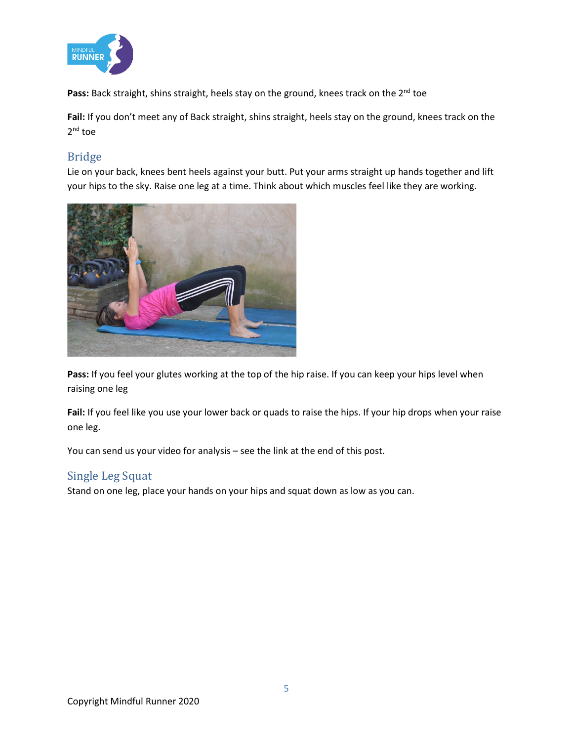

Pass: Back straight, shins straight, heels stay on the ground, knees track on the 2<sup>nd</sup> toe

**Fail:** If you don't meet any of Back straight, shins straight, heels stay on the ground, knees track on the 2<sup>nd</sup> toe

#### <span id="page-5-0"></span>Bridge

Lie on your back, knees bent heels against your butt. Put your arms straight up hands together and lift your hips to the sky. Raise one leg at a time. Think about which muscles feel like they are working.



Pass: If you feel your glutes working at the top of the hip raise. If you can keep your hips level when raising one leg

**Fail:** If you feel like you use your lower back or quads to raise the hips. If your hip drops when your raise one leg.

You can send us your video for analysis – see the link at the end of this post.

#### <span id="page-5-1"></span>Single Leg Squat

Stand on one leg, place your hands on your hips and squat down as low as you can.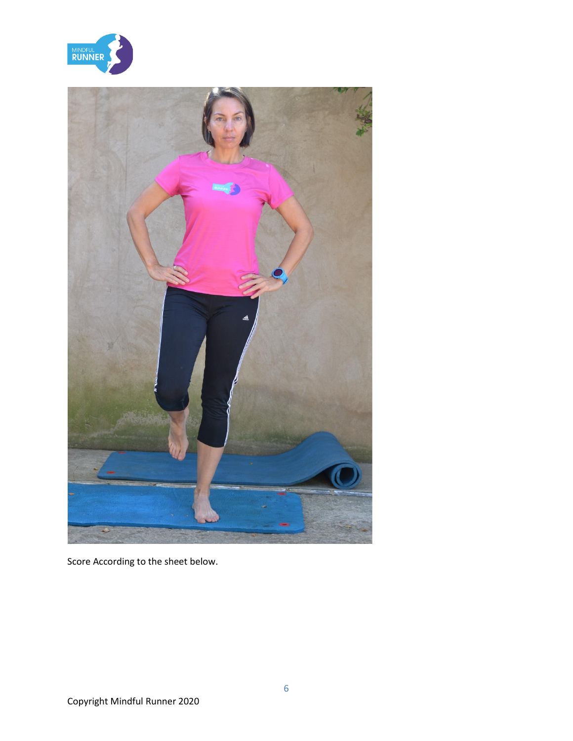



Score According to the sheet below.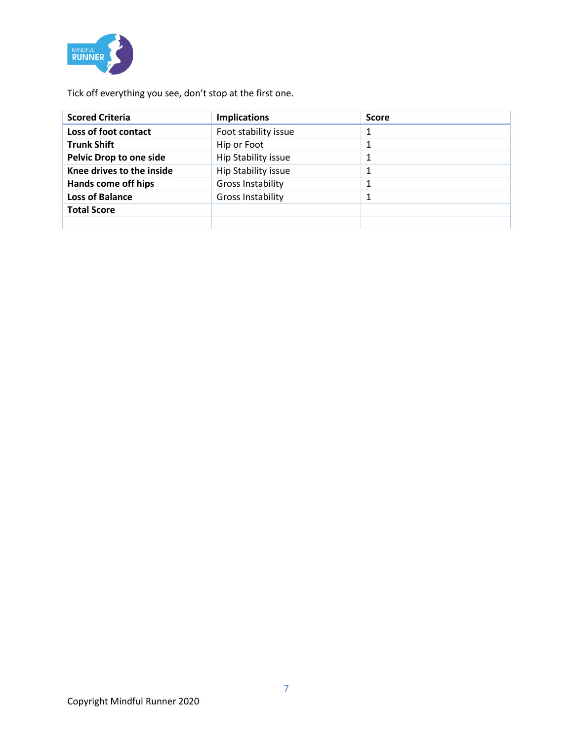

Tick off everything you see, don't stop at the first one.

| <b>Scored Criteria</b>         | <b>Implications</b>      | <b>Score</b> |
|--------------------------------|--------------------------|--------------|
| Loss of foot contact           | Foot stability issue     |              |
| <b>Trunk Shift</b>             | Hip or Foot              |              |
| <b>Pelvic Drop to one side</b> | Hip Stability issue      |              |
| Knee drives to the inside      | Hip Stability issue      |              |
| Hands come off hips            | <b>Gross Instability</b> |              |
| <b>Loss of Balance</b>         | Gross Instability        |              |
| <b>Total Score</b>             |                          |              |
|                                |                          |              |